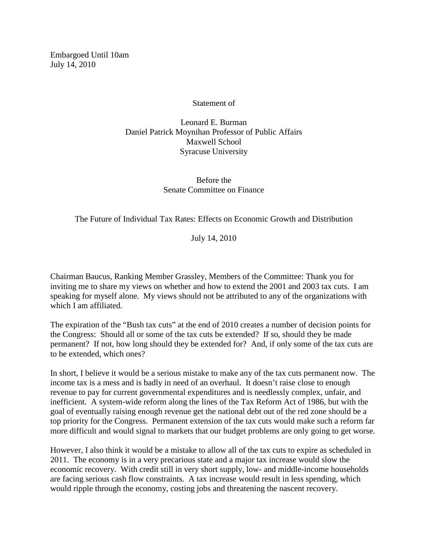Embargoed Until 10am July 14, 2010

Statement of

Leonard E. Burman Daniel Patrick Moynihan Professor of Public Affairs Maxwell School Syracuse University

> Before the Senate Committee on Finance

The Future of Individual Tax Rates: Effects on Economic Growth and Distribution

July 14, 2010

Chairman Baucus, Ranking Member Grassley, Members of the Committee: Thank you for inviting me to share my views on whether and how to extend the 2001 and 2003 tax cuts. I am speaking for myself alone. My views should not be attributed to any of the organizations with which I am affiliated.

The expiration of the "Bush tax cuts" at the end of 2010 creates a number of decision points for the Congress: Should all or some of the tax cuts be extended? If so, should they be made permanent? If not, how long should they be extended for? And, if only some of the tax cuts are to be extended, which ones?

In short, I believe it would be a serious mistake to make any of the tax cuts permanent now. The income tax is a mess and is badly in need of an overhaul. It doesn't raise close to enough revenue to pay for current governmental expenditures and is needlessly complex, unfair, and inefficient. A system-wide reform along the lines of the Tax Reform Act of 1986, but with the goal of eventually raising enough revenue get the national debt out of the red zone should be a top priority for the Congress. Permanent extension of the tax cuts would make such a reform far more difficult and would signal to markets that our budget problems are only going to get worse.

However, I also think it would be a mistake to allow all of the tax cuts to expire as scheduled in 2011. The economy is in a very precarious state and a major tax increase would slow the economic recovery. With credit still in very short supply, low- and middle-income households are facing serious cash flow constraints. A tax increase would result in less spending, which would ripple through the economy, costing jobs and threatening the nascent recovery.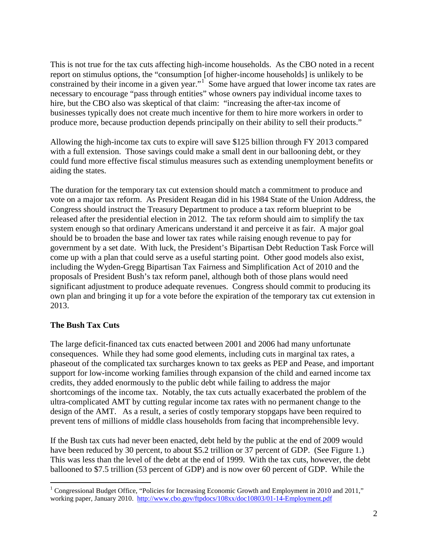This is not true for the tax cuts affecting high-income households. As the CBO noted in a recent report on stimulus options, the "consumption [of higher-income households] is unlikely to be constrained by their income in a given year."<sup>[1](#page-1-0)</sup> Some have argued that lower income tax rates are necessary to encourage "pass through entities" whose owners pay individual income taxes to hire, but the CBO also was skeptical of that claim: "increasing the after-tax income of businesses typically does not create much incentive for them to hire more workers in order to produce more, because production depends principally on their ability to sell their products."

Allowing the high-income tax cuts to expire will save \$125 billion through FY 2013 compared with a full extension. Those savings could make a small dent in our ballooning debt, or they could fund more effective fiscal stimulus measures such as extending unemployment benefits or aiding the states.

The duration for the temporary tax cut extension should match a commitment to produce and vote on a major tax reform. As President Reagan did in his 1984 State of the Union Address, the Congress should instruct the Treasury Department to produce a tax reform blueprint to be released after the presidential election in 2012. The tax reform should aim to simplify the tax system enough so that ordinary Americans understand it and perceive it as fair. A major goal should be to broaden the base and lower tax rates while raising enough revenue to pay for government by a set date. With luck, the President's Bipartisan Debt Reduction Task Force will come up with a plan that could serve as a useful starting point. Other good models also exist, including the Wyden-Gregg Bipartisan Tax Fairness and Simplification Act of 2010 and the proposals of President Bush's tax reform panel, although both of those plans would need significant adjustment to produce adequate revenues. Congress should commit to producing its own plan and bringing it up for a vote before the expiration of the temporary tax cut extension in 2013.

# **The Bush Tax Cuts**

The large deficit-financed tax cuts enacted between 2001 and 2006 had many unfortunate consequences. While they had some good elements, including cuts in marginal tax rates, a phaseout of the complicated tax surcharges known to tax geeks as PEP and Pease, and important support for low-income working families through expansion of the child and earned income tax credits, they added enormously to the public debt while failing to address the major shortcomings of the income tax. Notably, the tax cuts actually exacerbated the problem of the ultra-complicated AMT by cutting regular income tax rates with no permanent change to the design of the AMT. As a result, a series of costly temporary stopgaps have been required to prevent tens of millions of middle class households from facing that incomprehensible levy.

If the Bush tax cuts had never been enacted, debt held by the public at the end of 2009 would have been reduced by 30 percent, to about \$5.2 trillion or 37 percent of GDP. (See Figure 1.) This was less than the level of the debt at the end of 1999. With the tax cuts, however, the debt ballooned to \$7.5 trillion (53 percent of GDP) and is now over 60 percent of GDP. While the

<span id="page-1-0"></span><sup>&</sup>lt;sup>1</sup> Congressional Budget Office, "Policies for Increasing Economic Growth and Employment in 2010 and 2011," working paper, January 2010. <http://www.cbo.gov/ftpdocs/108xx/doc10803/01-14-Employment.pdf>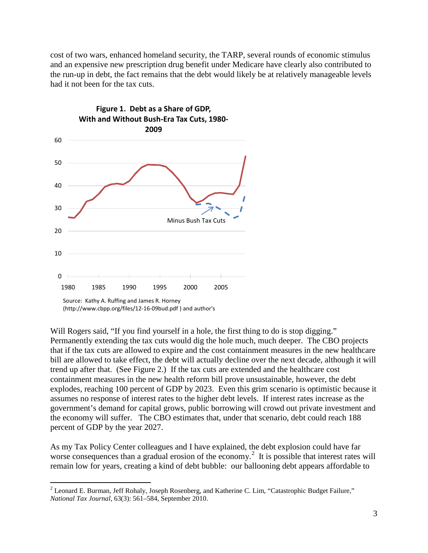cost of two wars, enhanced homeland security, the TARP, several rounds of economic stimulus and an expensive new prescription drug benefit under Medicare have clearly also contributed to the run-up in debt, the fact remains that the debt would likely be at relatively manageable levels had it not been for the tax cuts.



<sup>(</sup>http://www.cbpp.org/files/12-16-09bud.pdf ) and author's

Will Rogers said, "If you find yourself in a hole, the first thing to do is stop digging." Permanently extending the tax cuts would dig the hole much, much deeper. The CBO projects that if the tax cuts are allowed to expire and the cost containment measures in the new healthcare bill are allowed to take effect, the debt will actually decline over the next decade, although it will trend up after that. (See Figure 2.) If the tax cuts are extended and the healthcare cost containment measures in the new health reform bill prove unsustainable, however, the debt explodes, reaching 100 percent of GDP by 2023. Even this grim scenario is optimistic because it assumes no response of interest rates to the higher debt levels. If interest rates increase as the government's demand for capital grows, public borrowing will crowd out private investment and the economy will suffer. The CBO estimates that, under that scenario, debt could reach 188 percent of GDP by the year 2027.

As my Tax Policy Center colleagues and I have explained, the debt explosion could have far worse consequences than a gradual erosion of the economy.<sup>[2](#page-2-0)</sup> It is possible that interest rates will remain low for years, creating a kind of debt bubble: our ballooning debt appears affordable to

<span id="page-2-0"></span><sup>&</sup>lt;sup>2</sup> Leonard E. Burman, Jeff Rohaly, Joseph Rosenberg, and Katherine C. Lim, "Catastrophic Budget Failure," *National Tax Journal,* 63(3): 561–584, September 2010.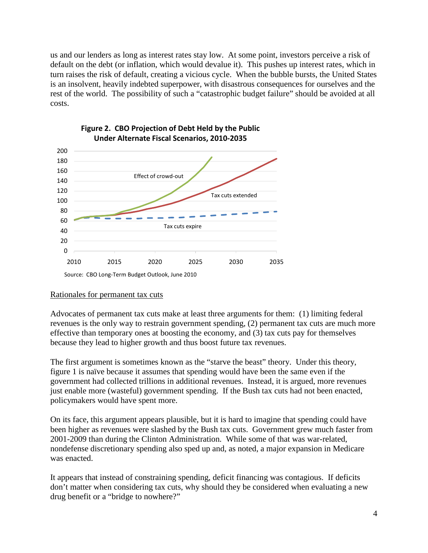us and our lenders as long as interest rates stay low. At some point, investors perceive a risk of default on the debt (or inflation, which would devalue it). This pushes up interest rates, which in turn raises the risk of default, creating a vicious cycle. When the bubble bursts, the United States is an insolvent, heavily indebted superpower, with disastrous consequences for ourselves and the rest of the world. The possibility of such a "catastrophic budget failure" should be avoided at all costs.





## Rationales for permanent tax cuts

Advocates of permanent tax cuts make at least three arguments for them: (1) limiting federal revenues is the only way to restrain government spending, (2) permanent tax cuts are much more effective than temporary ones at boosting the economy, and (3) tax cuts pay for themselves because they lead to higher growth and thus boost future tax revenues.

The first argument is sometimes known as the "starve the beast" theory. Under this theory, figure 1 is naïve because it assumes that spending would have been the same even if the government had collected trillions in additional revenues. Instead, it is argued, more revenues just enable more (wasteful) government spending. If the Bush tax cuts had not been enacted, policymakers would have spent more.

On its face, this argument appears plausible, but it is hard to imagine that spending could have been higher as revenues were slashed by the Bush tax cuts. Government grew much faster from 2001-2009 than during the Clinton Administration. While some of that was war-related, nondefense discretionary spending also sped up and, as noted, a major expansion in Medicare was enacted.

It appears that instead of constraining spending, deficit financing was contagious. If deficits don't matter when considering tax cuts, why should they be considered when evaluating a new drug benefit or a "bridge to nowhere?"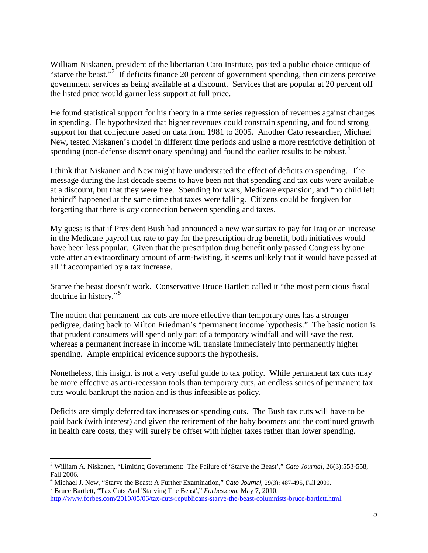William Niskanen, president of the libertarian Cato Institute, posited a public choice critique of "starve the beast."<sup>[3](#page-4-0)</sup> If deficits finance 20 percent of government spending, then citizens perceive government services as being available at a discount. Services that are popular at 20 percent off the listed price would garner less support at full price.

He found statistical support for his theory in a time series regression of revenues against changes in spending. He hypothesized that higher revenues could constrain spending, and found strong support for that conjecture based on data from 1981 to 2005. Another Cato researcher, Michael New, tested Niskanen's model in different time periods and using a more restrictive definition of spending (non-defense discretionary spending) and found the earlier results to be robust.<sup>[4](#page-4-1)</sup>

I think that Niskanen and New might have understated the effect of deficits on spending. The message during the last decade seems to have been not that spending and tax cuts were available at a discount, but that they were free. Spending for wars, Medicare expansion, and "no child left behind" happened at the same time that taxes were falling. Citizens could be forgiven for forgetting that there is *any* connection between spending and taxes.

My guess is that if President Bush had announced a new war surtax to pay for Iraq or an increase in the Medicare payroll tax rate to pay for the prescription drug benefit, both initiatives would have been less popular. Given that the prescription drug benefit only passed Congress by one vote after an extraordinary amount of arm-twisting, it seems unlikely that it would have passed at all if accompanied by a tax increase.

Starve the beast doesn't work. Conservative Bruce Bartlett called it "the most pernicious fiscal doctrine in history."<sup>[5](#page-4-2)</sup>

The notion that permanent tax cuts are more effective than temporary ones has a stronger pedigree, dating back to Milton Friedman's "permanent income hypothesis." The basic notion is that prudent consumers will spend only part of a temporary windfall and will save the rest, whereas a permanent increase in income will translate immediately into permanently higher spending. Ample empirical evidence supports the hypothesis.

Nonetheless, this insight is not a very useful guide to tax policy. While permanent tax cuts may be more effective as anti-recession tools than temporary cuts, an endless series of permanent tax cuts would bankrupt the nation and is thus infeasible as policy.

Deficits are simply deferred tax increases or spending cuts. The Bush tax cuts will have to be paid back (with interest) and given the retirement of the baby boomers and the continued growth in health care costs, they will surely be offset with higher taxes rather than lower spending.

<span id="page-4-0"></span> <sup>3</sup> William A. Niskanen, "Limiting Government: The Failure of 'Starve the Beast'," *Cato Journal*, 26(3):553-558,

<span id="page-4-1"></span>Fall 2006. <sup>4</sup> Michael J. New, "Starve the Beast: A Further Examination," *Cato Journal,* 29(3): 487-495, Fall 2009. <sup>5</sup> Bruce Bartlett, "Tax Cuts And 'Starving The Beast'," *Forbes.com*, May 7, 2010.

<span id="page-4-2"></span>

[http://www.forbes.com/2010/05/06/tax-cuts-republicans-starve-the-beast-columnists-bruce-bartlett.html.](http://www.forbes.com/2010/05/06/tax-cuts-republicans-starve-the-beast-columnists-bruce-bartlett.html)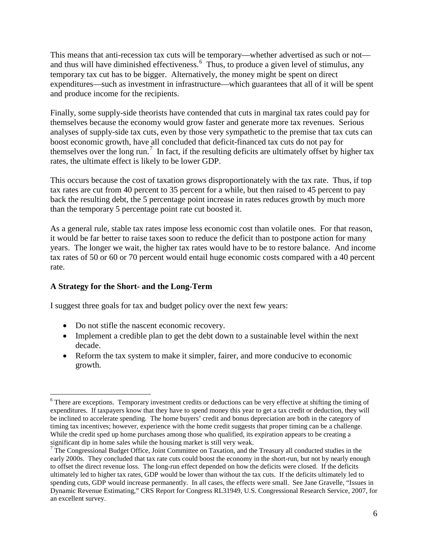This means that anti-recession tax cuts will be temporary—whether advertised as such or not and thus will have diminished effectiveness. $<sup>6</sup>$  $<sup>6</sup>$  $<sup>6</sup>$  Thus, to produce a given level of stimulus, any</sup> temporary tax cut has to be bigger. Alternatively, the money might be spent on direct expenditures—such as investment in infrastructure—which guarantees that all of it will be spent and produce income for the recipients.

Finally, some supply-side theorists have contended that cuts in marginal tax rates could pay for themselves because the economy would grow faster and generate more tax revenues. Serious analyses of supply-side tax cuts, even by those very sympathetic to the premise that tax cuts can boost economic growth, have all concluded that deficit-financed tax cuts do not pay for themselves over the long run.<sup>[7](#page-5-1)</sup> In fact, if the resulting deficits are ultimately offset by higher tax rates, the ultimate effect is likely to be lower GDP.

This occurs because the cost of taxation grows disproportionately with the tax rate. Thus, if top tax rates are cut from 40 percent to 35 percent for a while, but then raised to 45 percent to pay back the resulting debt, the 5 percentage point increase in rates reduces growth by much more than the temporary 5 percentage point rate cut boosted it.

As a general rule, stable tax rates impose less economic cost than volatile ones. For that reason, it would be far better to raise taxes soon to reduce the deficit than to postpone action for many years. The longer we wait, the higher tax rates would have to be to restore balance. And income tax rates of 50 or 60 or 70 percent would entail huge economic costs compared with a 40 percent rate.

# **A Strategy for the Short- and the Long-Term**

I suggest three goals for tax and budget policy over the next few years:

- Do not stifle the nascent economic recovery.
- Implement a credible plan to get the debt down to a sustainable level within the next decade.
- Reform the tax system to make it simpler, fairer, and more conducive to economic growth.

<span id="page-5-0"></span><sup>&</sup>lt;sup>6</sup> There are exceptions. Temporary investment credits or deductions can be very effective at shifting the timing of expenditures. If taxpayers know that they have to spend money this year to get a tax credit or deduction, they will be inclined to accelerate spending. The home buyers' credit and bonus depreciation are both in the category of timing tax incentives; however, experience with the home credit suggests that proper timing can be a challenge. While the credit sped up home purchases among those who qualified, its expiration appears to be creating a significant dip in home sales while the housing market is still very weak.

<span id="page-5-1"></span> $\frac{7}{7}$  The Congressional Budget Office, Joint Committee on Taxation, and the Treasury all conducted studies in the early 2000s. They concluded that tax rate cuts could boost the economy in the short-run, but not by nearly enough to offset the direct revenue loss. The long-run effect depended on how the deficits were closed. If the deficits ultimately led to higher tax rates, GDP would be lower than without the tax cuts. If the deficits ultimately led to spending cuts, GDP would increase permanently. In all cases, the effects were small. See Jane Gravelle, "Issues in Dynamic Revenue Estimating," CRS Report for Congress RL31949, U.S. Congressional Research Service, 2007, for an excellent survey.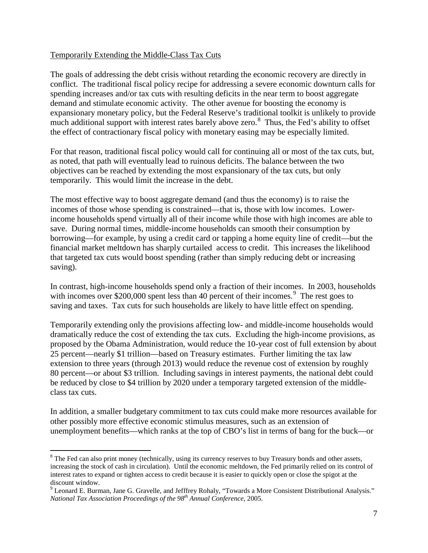## Temporarily Extending the Middle-Class Tax Cuts

The goals of addressing the debt crisis without retarding the economic recovery are directly in conflict. The traditional fiscal policy recipe for addressing a severe economic downturn calls for spending increases and/or tax cuts with resulting deficits in the near term to boost aggregate demand and stimulate economic activity. The other avenue for boosting the economy is expansionary monetary policy, but the Federal Reserve's traditional toolkit is unlikely to provide much additional support with interest rates barely above zero.<sup>[8](#page-6-0)</sup> Thus, the Fed's ability to offset the effect of contractionary fiscal policy with monetary easing may be especially limited.

For that reason, traditional fiscal policy would call for continuing all or most of the tax cuts, but, as noted, that path will eventually lead to ruinous deficits. The balance between the two objectives can be reached by extending the most expansionary of the tax cuts, but only temporarily. This would limit the increase in the debt.

The most effective way to boost aggregate demand (and thus the economy) is to raise the incomes of those whose spending is constrained—that is, those with low incomes. Lowerincome households spend virtually all of their income while those with high incomes are able to save. During normal times, middle-income households can smooth their consumption by borrowing—for example, by using a credit card or tapping a home equity line of credit—but the financial market meltdown has sharply curtailed access to credit. This increases the likelihood that targeted tax cuts would boost spending (rather than simply reducing debt or increasing saving).

In contrast, high-income households spend only a fraction of their incomes. In 2003, households with incomes over \$200,000 spent less than 40 percent of their incomes.<sup>[9](#page-6-1)</sup> The rest goes to saving and taxes. Tax cuts for such households are likely to have little effect on spending.

Temporarily extending only the provisions affecting low- and middle-income households would dramatically reduce the cost of extending the tax cuts. Excluding the high-income provisions, as proposed by the Obama Administration, would reduce the 10-year cost of full extension by about 25 percent—nearly \$1 trillion—based on Treasury estimates. Further limiting the tax law extension to three years (through 2013) would reduce the revenue cost of extension by roughly 80 percent—or about \$3 trillion. Including savings in interest payments, the national debt could be reduced by close to \$4 trillion by 2020 under a temporary targeted extension of the middleclass tax cuts.

In addition, a smaller budgetary commitment to tax cuts could make more resources available for other possibly more effective economic stimulus measures, such as an extension of unemployment benefits—which ranks at the top of CBO's list in terms of bang for the buck—or

<span id="page-6-0"></span><sup>&</sup>lt;sup>8</sup> The Fed can also print money (technically, using its currency reserves to buy Treasury bonds and other assets, increasing the stock of cash in circulation). Until the economic meltdown, the Fed primarily relied on its control of interest rates to expand or tighten access to credit because it is easier to quickly open or close the spigot at the discount window.

<span id="page-6-1"></span><sup>&</sup>lt;sup>9</sup> Leonard E. Burman, Jane G. Gravelle, and Jefffrey Rohaly, "Towards a More Consistent Distributional Analysis." *National Tax Association Proceedings of the 98th Annual Conference*, 2005.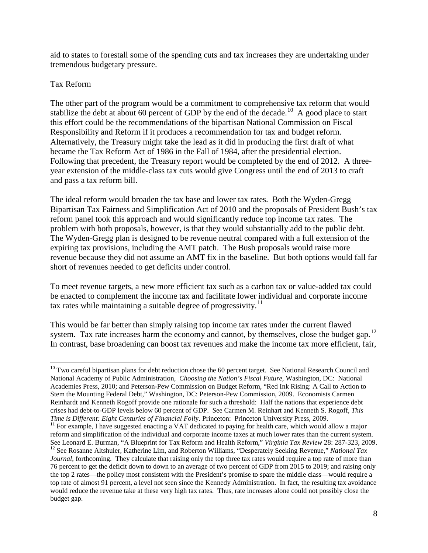aid to states to forestall some of the spending cuts and tax increases they are undertaking under tremendous budgetary pressure.

## Tax Reform

The other part of the program would be a commitment to comprehensive tax reform that would stabilize the debt at about 60 percent of GDP by the end of the decade.<sup>10</sup> A good place to start this effort could be the recommendations of the bipartisan National Commission on Fiscal Responsibility and Reform if it produces a recommendation for tax and budget reform. Alternatively, the Treasury might take the lead as it did in producing the first draft of what became the Tax Reform Act of 1986 in the Fall of 1984, after the presidential election. Following that precedent, the Treasury report would be completed by the end of 2012. A threeyear extension of the middle-class tax cuts would give Congress until the end of 2013 to craft and pass a tax reform bill.

The ideal reform would broaden the tax base and lower tax rates. Both the Wyden-Gregg Bipartisan Tax Fairness and Simplification Act of 2010 and the proposals of President Bush's tax reform panel took this approach and would significantly reduce top income tax rates. The problem with both proposals, however, is that they would substantially add to the public debt. The Wyden-Gregg plan is designed to be revenue neutral compared with a full extension of the expiring tax provisions, including the AMT patch. The Bush proposals would raise more revenue because they did not assume an AMT fix in the baseline. But both options would fall far short of revenues needed to get deficits under control.

To meet revenue targets, a new more efficient tax such as a carbon tax or value-added tax could be enacted to complement the income tax and facilitate lower individual and corporate income tax rates while maintaining a suitable degree of progressivity.<sup>[11](#page-7-1)</sup>

This would be far better than simply raising top income tax rates under the current flawed system. Tax rate increases harm the economy and cannot, by themselves, close the budget gap.<sup>[12](#page-7-2)</sup> In contrast, base broadening can boost tax revenues and make the income tax more efficient, fair,

<span id="page-7-0"></span> $10$  Two careful bipartisan plans for debt reduction chose the 60 percent target. See National Research Council and National Academy of Public Administration, *Choosing the Nation's Fiscal Future,* Washington, DC: National Academies Press, 2010; and Peterson-Pew Commission on Budget Reform, "Red Ink Rising: A Call to Action to Stem the Mounting Federal Debt," Washington, DC: Peterson-Pew Commission, 2009. Economists Carmen Reinhardt and Kenneth Rogoff provide one rationale for such a threshold: Half the nations that experience debt crises had debt-to-GDP levels below 60 percent of GDP. See Carmen M. Reinhart and Kenneth S. Rogoff, *This Time is Different: Eight Centuries of Financial Foll*y. Princeton: Princeton University Press, 2009.

<span id="page-7-2"></span><span id="page-7-1"></span><sup>&</sup>lt;sup>11</sup> For example, I have suggested enacting a VAT dedicated to paying for health care, which would allow a major reform and simplification of the individual and corporate income taxes at much lower rates than the current system.<br>See Leonard E. Burman, "A Blueprint for Tax Reform and Health Reform," Virginia Tax Review 28: 287-323, 20 <sup>12</sup> See Rosanne Altshuler, Katherine Lim, and Roberton Williams, "Desperately Seeking Revenue," National Tax *Journal*, forthcoming. They calculate that raising only the top three tax rates would require a top rate of more than 76 percent to get the deficit down to down to an average of two percent of GDP from 2015 to 2019; and raising only the top 2 rates—the policy most consistent with the President's promise to spare the middle class—would require a top rate of almost 91 percent, a level not seen since the Kennedy Administration. In fact, the resulting tax avoidance would reduce the revenue take at these very high tax rates. Thus, rate increases alone could not possibly close the budget gap.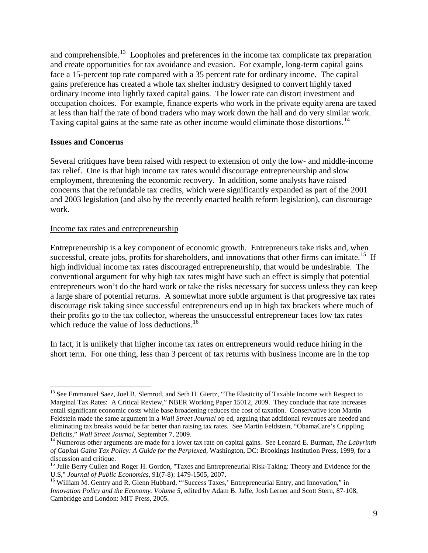and comprehensible.<sup>[13](#page-8-0)</sup> Loopholes and preferences in the income tax complicate tax preparation and create opportunities for tax avoidance and evasion. For example, long-term capital gains face a 15-percent top rate compared with a 35 percent rate for ordinary income. The capital gains preference has created a whole tax shelter industry designed to convert highly taxed ordinary income into lightly taxed capital gains. The lower rate can distort investment and occupation choices. For example, finance experts who work in the private equity arena are taxed at less than half the rate of bond traders who may work down the hall and do very similar work. Taxing capital gains at the same rate as other income would eliminate those distortions.<sup>[14](#page-8-1)</sup>

### **Issues and Concerns**

Several critiques have been raised with respect to extension of only the low- and middle-income tax relief. One is that high income tax rates would discourage entrepreneurship and slow employment, threatening the economic recovery. In addition, some analysts have raised concerns that the refundable tax credits, which were significantly expanded as part of the 2001 and 2003 legislation (and also by the recently enacted health reform legislation), can discourage work.

### Income tax rates and entrepreneurship

Entrepreneurship is a key component of economic growth. Entrepreneurs take risks and, when successful, create jobs, profits for shareholders, and innovations that other firms can imitate.<sup>15</sup> If high individual income tax rates discouraged entrepreneurship, that would be undesirable. The conventional argument for why high tax rates might have such an effect is simply that potential entrepreneurs won't do the hard work or take the risks necessary for success unless they can keep a large share of potential returns. A somewhat more subtle argument is that progressive tax rates discourage risk taking since successful entrepreneurs end up in high tax brackets where much of their profits go to the tax collector, whereas the unsuccessful entrepreneur faces low tax rates which reduce the value of loss deductions.<sup>[16](#page-8-3)</sup>

In fact, it is unlikely that higher income tax rates on entrepreneurs would reduce hiring in the short term. For one thing, less than 3 percent of tax returns with business income are in the top

<span id="page-8-0"></span><sup>&</sup>lt;sup>13</sup> See Emmanuel Saez, Joel B. Slemrod, and Seth H. Giertz, "The Elasticity of Taxable Income with Respect to Marginal Tax Rates: A Critical Review," NBER Working Paper 15012, 2009. They conclude that rate increases entail significant economic costs while base broadening reduces the cost of taxation. Conservative icon Martin Feldstein made the same argument in a *Wall Street Journal* op ed, arguing that additional revenues are needed and eliminating tax breaks would be far better than raising tax rates. See Martin Feldstein, "ObamaCare's Crippling<br>Deficits," Wall Street Journal, September 7, 2009.

<span id="page-8-1"></span><sup>&</sup>lt;sup>14</sup> Numerous other arguments are made for a lower tax rate on capital gains. See Leonard E. Burman, *The Labyrinth of Capital Gains Tax Policy: A Guide for the Perplexed,* Washington, DC: Brookings Institution Press, 1999, for a discussion and critique.

<span id="page-8-2"></span><sup>&</sup>lt;sup>15</sup> Julie Berry Cullen and Roger H. Gordon, "Taxes and Entrepreneurial Risk-Taking: Theory and Evidence for the U.S," Journal of Public Economics, 91(7-8): 1479-1505, 2007.

<span id="page-8-3"></span><sup>&</sup>lt;sup>16</sup> William M. Gentry and R. Glenn Hubbard, "'Success Taxes,' Entrepreneurial Entry, and Innovation," in *Innovation Policy and the Economy. Volume 5*, edited by Adam B. Jaffe, Josh Lerner and Scott Stern, 87-108, Cambridge and London: MIT Press, 2005.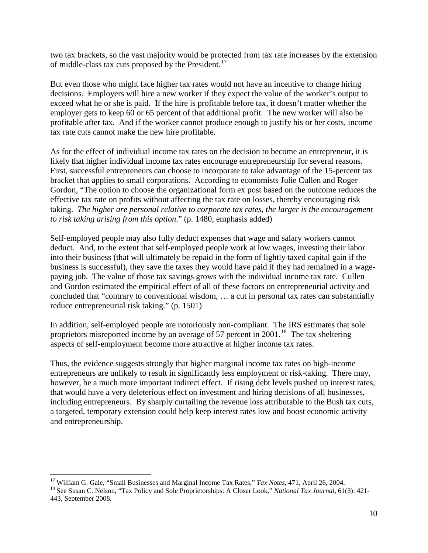two tax brackets, so the vast majority would be protected from tax rate increases by the extension of middle-class tax cuts proposed by the President.<sup>17</sup>

But even those who might face higher tax rates would not have an incentive to change hiring decisions. Employers will hire a new worker if they expect the value of the worker's output to exceed what he or she is paid. If the hire is profitable before tax, it doesn't matter whether the employer gets to keep 60 or 65 percent of that additional profit. The new worker will also be profitable after tax. And if the worker cannot produce enough to justify his or her costs, income tax rate cuts cannot make the new hire profitable.

As for the effect of individual income tax rates on the decision to become an entrepreneur, it is likely that higher individual income tax rates encourage entrepreneurship for several reasons. First, successful entrepreneurs can choose to incorporate to take advantage of the 15-percent tax bracket that applies to small corporations. According to economists Julie Cullen and Roger Gordon, "The option to choose the organizational form ex post based on the outcome reduces the effective tax rate on profits without affecting the tax rate on losses, thereby encouraging risk taking. *The higher are personal relative to corporate tax rates, the larger is the encouragement to risk taking arising from this option.*" (p. 1480, emphasis added)

Self-employed people may also fully deduct expenses that wage and salary workers cannot deduct. And, to the extent that self-employed people work at low wages, investing their labor into their business (that will ultimately be repaid in the form of lightly taxed capital gain if the business is successful), they save the taxes they would have paid if they had remained in a wagepaying job. The value of those tax savings grows with the individual income tax rate. Cullen and Gordon estimated the empirical effect of all of these factors on entrepreneurial activity and concluded that "contrary to conventional wisdom, … a cut in personal tax rates can substantially reduce entrepreneurial risk taking." (p. 1501)

In addition, self-employed people are notoriously non-compliant. The IRS estimates that sole proprietors misreported income by an average of 57 percent in 2001.<sup>[18](#page-9-1)</sup> The tax sheltering aspects of self-employment become more attractive at higher income tax rates.

Thus, the evidence suggests strongly that higher marginal income tax rates on high-income entrepreneurs are unlikely to result in significantly less employment or risk-taking. There may, however, be a much more important indirect effect. If rising debt levels pushed up interest rates, that would have a very deleterious effect on investment and hiring decisions of all businesses, including entrepreneurs. By sharply curtailing the revenue loss attributable to the Bush tax cuts, a targeted, temporary extension could help keep interest rates low and boost economic activity and entrepreneurship.

<span id="page-9-1"></span><span id="page-9-0"></span><sup>&</sup>lt;sup>17</sup> William G. Gale, "Small Businesses and Marginal Income Tax Rates," Tax Notes, 471, April 26, 2004.<br><sup>18</sup> See Susan C. Nelson, "Tax Policy and Sole Proprietorships: A Closer Look," *National Tax Journal*, 61(3): 421-443, September 2008.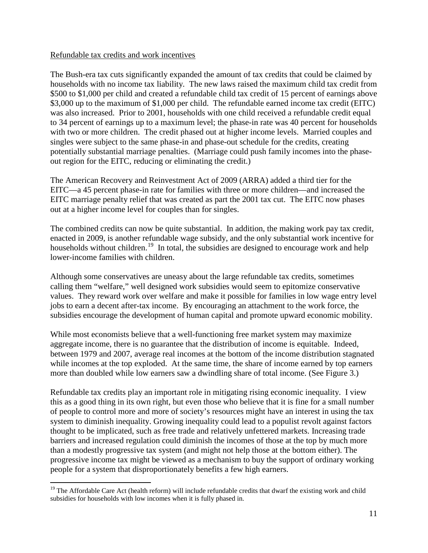### Refundable tax credits and work incentives

The Bush-era tax cuts significantly expanded the amount of tax credits that could be claimed by households with no income tax liability. The new laws raised the maximum child tax credit from \$500 to \$1,000 per child and created a refundable child tax credit of 15 percent of earnings above \$3,000 up to the maximum of \$1,000 per child. The refundable earned income tax credit (EITC) was also increased. Prior to 2001, households with one child received a refundable credit equal to 34 percent of earnings up to a maximum level; the phase-in rate was 40 percent for households with two or more children. The credit phased out at higher income levels. Married couples and singles were subject to the same phase-in and phase-out schedule for the credits, creating potentially substantial marriage penalties. (Marriage could push family incomes into the phaseout region for the EITC, reducing or eliminating the credit.)

The American Recovery and Reinvestment Act of 2009 (ARRA) added a third tier for the EITC—a 45 percent phase-in rate for families with three or more children—and increased the EITC marriage penalty relief that was created as part the 2001 tax cut. The EITC now phases out at a higher income level for couples than for singles.

The combined credits can now be quite substantial. In addition, the making work pay tax credit, enacted in 2009, is another refundable wage subsidy, and the only substantial work incentive for households without children.<sup>19</sup> In total, the subsidies are designed to encourage work and help lower-income families with children.

Although some conservatives are uneasy about the large refundable tax credits, sometimes calling them "welfare," well designed work subsidies would seem to epitomize conservative values. They reward work over welfare and make it possible for families in low wage entry level jobs to earn a decent after-tax income. By encouraging an attachment to the work force, the subsidies encourage the development of human capital and promote upward economic mobility.

While most economists believe that a well-functioning free market system may maximize aggregate income, there is no guarantee that the distribution of income is equitable. Indeed, between 1979 and 2007, average real incomes at the bottom of the income distribution stagnated while incomes at the top exploded. At the same time, the share of income earned by top earners more than doubled while low earners saw a dwindling share of total income. (See Figure 3.)

Refundable tax credits play an important role in mitigating rising economic inequality. I view this as a good thing in its own right, but even those who believe that it is fine for a small number of people to control more and more of society's resources might have an interest in using the tax system to diminish inequality. Growing inequality could lead to a populist revolt against factors thought to be implicated, such as free trade and relatively unfettered markets. Increasing trade barriers and increased regulation could diminish the incomes of those at the top by much more than a modestly progressive tax system (and might not help those at the bottom either). The progressive income tax might be viewed as a mechanism to buy the support of ordinary working people for a system that disproportionately benefits a few high earners.

<span id="page-10-0"></span><sup>&</sup>lt;sup>19</sup> The Affordable Care Act (health reform) will include refundable credits that dwarf the existing work and child subsidies for households with low incomes when it is fully phased in.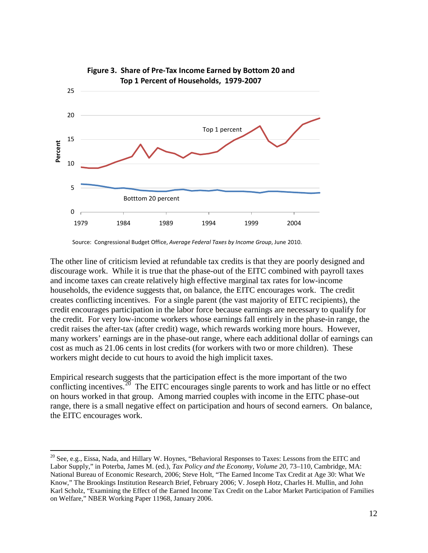

Source: Congressional Budget Office, *Average Federal Taxes by Income Group*, June 2010.

The other line of criticism levied at refundable tax credits is that they are poorly designed and discourage work. While it is true that the phase-out of the EITC combined with payroll taxes and income taxes can create relatively high effective marginal tax rates for low-income households, the evidence suggests that, on balance, the EITC encourages work. The credit creates conflicting incentives. For a single parent (the vast majority of EITC recipients), the credit encourages participation in the labor force because earnings are necessary to qualify for the credit. For very low-income workers whose earnings fall entirely in the phase-in range, the credit raises the after-tax (after credit) wage, which rewards working more hours. However, many workers' earnings are in the phase-out range, where each additional dollar of earnings can cost as much as 21.06 cents in lost credits (for workers with two or more children). These workers might decide to cut hours to avoid the high implicit taxes.

Empirical research suggests that the participation effect is the more important of the two conflicting incentives. $20$  The EITC encourages single parents to work and has little or no effect on hours worked in that group. Among married couples with income in the EITC phase-out range, there is a small negative effect on participation and hours of second earners. On balance, the EITC encourages work.

<span id="page-11-0"></span><sup>&</sup>lt;sup>20</sup> See, e.g., Eissa, Nada, and Hillary W. Hoynes, "Behavioral Responses to Taxes: Lessons from the EITC and Labor Supply," in Poterba, James M. (ed.), *Tax Policy and the Economy, Volume 20*, 73–110, Cambridge, MA: National Bureau of Economic Research, 2006; Steve Holt, "The Earned Income Tax Credit at Age 30: What We Know," The Brookings Institution Research Brief, February 2006; V. Joseph Hotz, Charles H. Mullin, and John Karl Scholz, "Examining the Effect of the Earned Income Tax Credit on the Labor Market Participation of Families on Welfare," NBER Working Paper 11968, January 2006.